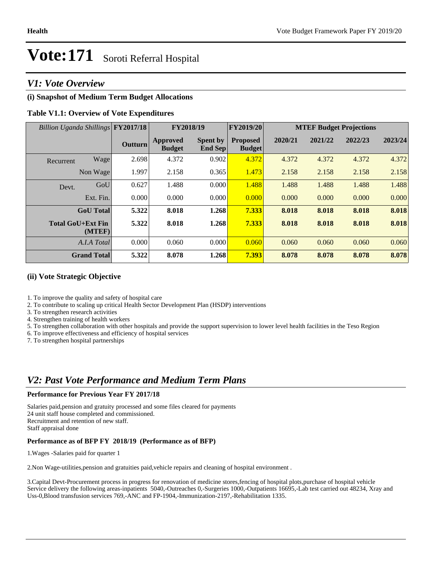## *V1: Vote Overview*

## **(i) Snapshot of Medium Term Budget Allocations**

### **Table V1.1: Overview of Vote Expenditures**

| Billion Uganda Shillings FY2017/18 |                |                                  | <b>FY2019/20</b><br>FY2018/19 |                                  |         |         | <b>MTEF Budget Projections</b> |         |
|------------------------------------|----------------|----------------------------------|-------------------------------|----------------------------------|---------|---------|--------------------------------|---------|
|                                    | <b>Outturn</b> | <b>Approved</b><br><b>Budget</b> | <b>Spent by</b><br>End Sep    | <b>Proposed</b><br><b>Budget</b> | 2020/21 | 2021/22 | 2022/23                        | 2023/24 |
| Wage<br>Recurrent                  | 2.698          | 4.372                            | 0.902                         | 4.372                            | 4.372   | 4.372   | 4.372                          | 4.372   |
| Non Wage                           | 1.997          | 2.158                            | 0.365                         | 1.473                            | 2.158   | 2.158   | 2.158                          | 2.158   |
| GoU<br>Devt.                       | 0.627          | 1.488                            | 0.000                         | 1.488                            | 1.488   | 1.488   | 1.488                          | 1.488   |
| Ext. Fin.                          | 0.000          | 0.000                            | 0.000                         | 0.000                            | 0.000   | 0.000   | 0.000                          | 0.000   |
| <b>GoU</b> Total                   | 5.322          | 8.018                            | 1.268                         | 7.333                            | 8.018   | 8.018   | 8.018                          | 8.018   |
| Total GoU+Ext Fin<br>(MTEF)        | 5.322          | 8.018                            | 1.268                         | 7.333                            | 8.018   | 8.018   | 8.018                          | 8.018   |
| A.I.A Total                        | 0.000          | 0.060                            | 0.000                         | 0.060                            | 0.060   | 0.060   | 0.060                          | 0.060   |
| <b>Grand Total</b>                 | 5.322          | 8.078                            | 1.268                         | 7.393                            | 8.078   | 8.078   | 8.078                          | 8.078   |

### **(ii) Vote Strategic Objective**

1. To improve the quality and safety of hospital care

2. To contribute to scaling up critical Health Sector Development Plan (HSDP) interventions

3. To strengthen research activities

4. Strengthen training of health workers

5. To strengthen collaboration with other hospitals and provide the support supervision to lower level health facilities in the Teso Region

6. To improve effectiveness and efficiency of hospital services

7. To strengthen hospital partnerships

## *V2: Past Vote Performance and Medium Term Plans*

#### **Performance for Previous Year FY 2017/18**

Salaries paid,pension and gratuity processed and some files cleared for payments 24 unit staff house completed and commissioned. Recruitment and retention of new staff. Staff appraisal done

### **Performance as of BFP FY 2018/19 (Performance as of BFP)**

1.Wages -Salaries paid for quarter 1

2.Non Wage-utilities,pension and gratuities paid,vehicle repairs and cleaning of hospital environment .

3.Capital Devt-Procurement process in progress for renovation of medicine stores,fencing of hospital plots,purchase of hospital vehicle Service delivery the following areas-inpatients 5040,-Outreaches 0,-Surgeries 1000,-Outpatients 16695,-Lab test carried out 48234, Xray and Uss-0,Blood transfusion services 769,-ANC and FP-1904,-Immunization-2197,-Rehabilitation 1335.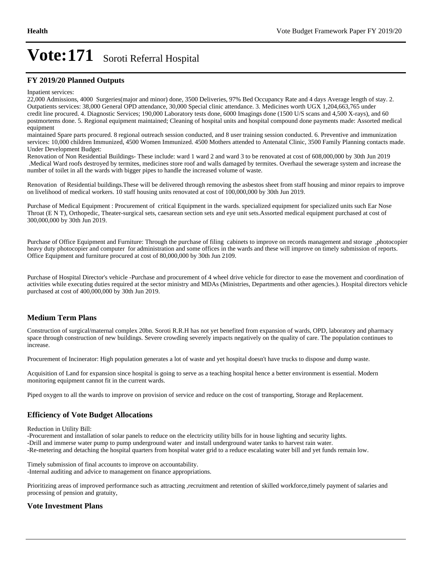#### **FY 2019/20 Planned Outputs**

#### Inpatient services:

22,000 Admissions, 4000 Surgeries(major and minor) done, 3500 Deliveries, 97% Bed Occupancy Rate and 4 days Average length of stay. 2. Outpatients services: 38,000 General OPD attendance, 30,000 Special clinic attendance. 3. Medicines worth UGX 1,204,663,765 under credit line procured. 4. Diagnostic Services; 190,000 Laboratory tests done, 6000 Imagings done (1500 U/S scans and 4,500 X-rays), and 60 postmortems done. 5. Regional equipment maintained; Cleaning of hospital units and hospital compound done payments made: Assorted medical equipment

maintained Spare parts procured. 8 regional outreach session conducted, and 8 user training session conducted. 6. Preventive and immunization services: 10,000 children Immunized, 4500 Women Immunized. 4500 Mothers attended to Antenatal Clinic, 3500 Family Planning contacts made. Under Development Budget:

Renovation of Non Residential Buildings- These include: ward 1 ward 2 and ward 3 to be renovated at cost of 608,000,000 by 30th Jun 2019 .Medical Ward roofs destroyed by termites, medicines store roof and walls damaged by termites. Overhaul the sewerage system and increase the number of toilet in all the wards with bigger pipes to handle the increased volume of waste.

Renovation of Residential buildings.These will be delivered through removing the asbestos sheet from staff housing and minor repairs to improve on livelihood of medical workers. 10 staff housing units renovated at cost of 100,000,000 by 30th Jun 2019.

Purchase of Medical Equipment : Procurement of critical Equipment in the wards. specialized equipment for specialized units such Ear Nose Throat (E N T), Orthopedic, Theater-surgical sets, caesarean section sets and eye unit sets.Assorted medical equipment purchased at cost of 300,000,000 by 30th Jun 2019.

Purchase of Office Equipment and Furniture: Through the purchase of filing cabinets to improve on records management and storage ,photocopier heavy duty photocopier and computer for administration and some offices in the wards and these will improve on timely submission of reports. Office Equipment and furniture procured at cost of 80,000,000 by 30th Jun 2109.

Purchase of Hospital Director's vehicle -Purchase and procurement of 4 wheel drive vehicle for director to ease the movement and coordination of activities while executing duties required at the sector ministry and MDAs (Ministries, Departments and other agencies.). Hospital directors vehicle purchased at cost of 400,000,000 by 30th Jun 2019.

#### **Medium Term Plans**

Construction of surgical/maternal complex 20bn. Soroti R.R.H has not yet benefited from expansion of wards, OPD, laboratory and pharmacy space through construction of new buildings. Severe crowding severely impacts negatively on the quality of care. The population continues to increase.

Procurement of Incinerator: High population generates a lot of waste and yet hospital doesn't have trucks to dispose and dump waste.

Acquisition of Land for expansion since hospital is going to serve as a teaching hospital hence a better environment is essential. Modern monitoring equipment cannot fit in the current wards.

Piped oxygen to all the wards to improve on provision of service and reduce on the cost of transporting, Storage and Replacement.

#### **Efficiency of Vote Budget Allocations**

Reduction in Utility Bill:

-Procurement and installation of solar panels to reduce on the electricity utility bills for in house lighting and security lights. -Drill and immerse water pump to pump underground water and install underground water tanks to harvest rain water. -Re-metering and detaching the hospital quarters from hospital water grid to a reduce escalating water bill and yet funds remain low.

Timely submission of final accounts to improve on accountability. -Internal auditing and advice to management on finance appropriations.

Prioritizing areas of improved performance such as attracting ,recruitment and retention of skilled workforce,timely payment of salaries and processing of pension and gratuity,

#### **Vote Investment Plans**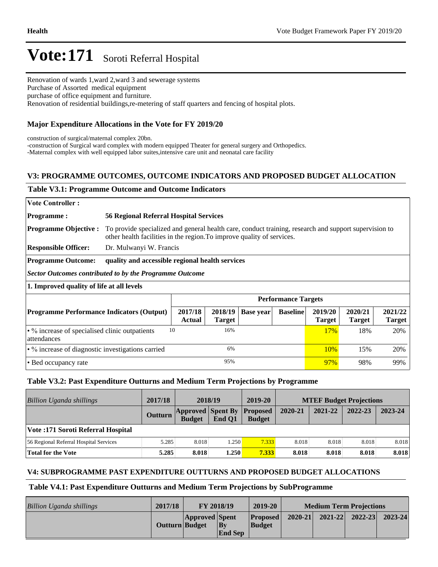Renovation of wards 1,ward 2,ward 3 and sewerage systems

Purchase of Assorted medical equipment

purchase of office equipment and furniture.

Renovation of residential buildings,re-metering of staff quarters and fencing of hospital plots.

## **Major Expenditure Allocations in the Vote for FY 2019/20**

construction of surgical/maternal complex 20bn.

-construction of Surgical ward complex with modern equipped Theater for general surgery and Orthopedics. -Maternal complex with well equipped labor suites,intensive care unit and neonatal care facility

## **V3: PROGRAMME OUTCOMES, OUTCOME INDICATORS AND PROPOSED BUDGET ALLOCATION**

### **Table V3.1: Programme Outcome and Outcome Indicators**

| <b>Vote Controller:</b>                                       |                                                                                                                                                                                 |                            |                          |                  |                 |                          |                          |                          |
|---------------------------------------------------------------|---------------------------------------------------------------------------------------------------------------------------------------------------------------------------------|----------------------------|--------------------------|------------------|-----------------|--------------------------|--------------------------|--------------------------|
| <b>Programme:</b>                                             | <b>56 Regional Referral Hospital Services</b>                                                                                                                                   |                            |                          |                  |                 |                          |                          |                          |
| <b>Programme Objective:</b>                                   | To provide specialized and general health care, conduct training, research and support supervision to<br>other health facilities in the region. To improve quality of services. |                            |                          |                  |                 |                          |                          |                          |
| <b>Responsible Officer:</b>                                   | Dr. Mulwanyi W. Francis                                                                                                                                                         |                            |                          |                  |                 |                          |                          |                          |
| <b>Programme Outcome:</b>                                     | quality and accessible regional health services                                                                                                                                 |                            |                          |                  |                 |                          |                          |                          |
| Sector Outcomes contributed to by the Programme Outcome       |                                                                                                                                                                                 |                            |                          |                  |                 |                          |                          |                          |
| 1. Improved quality of life at all levels                     |                                                                                                                                                                                 |                            |                          |                  |                 |                          |                          |                          |
|                                                               |                                                                                                                                                                                 | <b>Performance Targets</b> |                          |                  |                 |                          |                          |                          |
| <b>Programme Performance Indicators (Output)</b>              |                                                                                                                                                                                 | 2017/18<br><b>Actual</b>   | 2018/19<br><b>Target</b> | <b>Base year</b> | <b>Baseline</b> | 2019/20<br><b>Target</b> | 2020/21<br><b>Target</b> | 2021/22<br><b>Target</b> |
| • % increase of specialised clinic outpatients<br>attendances |                                                                                                                                                                                 | 10                         | 16%                      |                  |                 | <b>17%</b>               | 18%                      | 20%                      |
| • % increase of diagnostic investigations carried             |                                                                                                                                                                                 |                            | 6%                       |                  |                 | 10%                      | 15%                      | 20%                      |
| • Bed occupancy rate                                          |                                                                                                                                                                                 |                            | 95%                      |                  |                 | 97%                      | 98%                      | 99%                      |

### **Table V3.2: Past Expenditure Outturns and Medium Term Projections by Programme**

| Billion Uganda shillings               | 2017/18 |               | 2018/19                                     | 2019-20       |         | <b>MTEF Budget Projections</b> |         |         |
|----------------------------------------|---------|---------------|---------------------------------------------|---------------|---------|--------------------------------|---------|---------|
|                                        | Outturn | <b>Budget</b> | <b>Approved Spent By Proposed</b><br>End O1 | <b>Budget</b> | 2020-21 | 2021-22                        | 2022-23 | 2023-24 |
| Vote: 171 Soroti Referral Hospital     |         |               |                                             |               |         |                                |         |         |
| 56 Regional Referral Hospital Services | 5.285   | 8.018         | 1.250                                       | 7.333         | 8.018   | 8.018                          | 8.018   | 8.018   |
| Total for the Vote                     | 5.285   | 8.018         | 1.250                                       | 7.333         | 8.018   | 8.018                          | 8.018   | 8.018   |

### **V4: SUBPROGRAMME PAST EXPENDITURE OUTTURNS AND PROPOSED BUDGET ALLOCATIONS**

### **Table V4.1: Past Expenditure Outturns and Medium Term Projections by SubProgramme**

| Billion Uganda shillings | 2017/18               | <b>FY 2018/19</b>     |                                      | 2019-20                          |             |             | <b>Medium Term Projections</b> |             |
|--------------------------|-----------------------|-----------------------|--------------------------------------|----------------------------------|-------------|-------------|--------------------------------|-------------|
|                          | <b>Outturn Budget</b> | <b>Approved</b> Spent | $ {\bf B} {\bf v}$<br><b>End Sep</b> | <b>Proposed</b><br><b>Budget</b> | $2020 - 21$ | $2021 - 22$ | $2022 - 23$                    | $2023 - 24$ |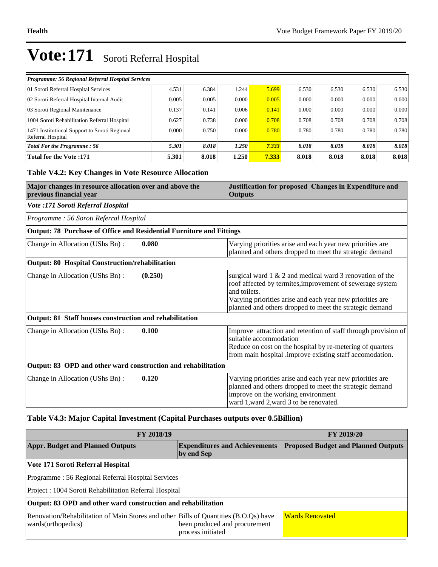| <b>Programme: 56 Regional Referral Hospital Services</b>           |       |       |       |       |       |       |       |       |
|--------------------------------------------------------------------|-------|-------|-------|-------|-------|-------|-------|-------|
| 01 Soroti Referral Hospital Services                               | 4.531 | 6.384 | 1.244 | 5.699 | 6.530 | 6.530 | 6.530 | 6.530 |
| 02 Soroti Referral Hospital Internal Audit                         | 0.005 | 0.005 | 0.000 | 0.005 | 0.000 | 0.000 | 0.000 | 0.000 |
| 03 Soroti Regional Maintenance                                     | 0.137 | 0.141 | 0.006 | 0.141 | 0.000 | 0.000 | 0.000 | 0.000 |
| 1004 Soroti Rehabilitation Referral Hospital                       | 0.627 | 0.738 | 0.000 | 0.708 | 0.708 | 0.708 | 0.708 | 0.708 |
| 1471 Institutional Support to Soroti Regional<br>Referral Hospital | 0.000 | 0.750 | 0.000 | 0.780 | 0.780 | 0.780 | 0.780 | 0.780 |
| Total For the Programme: 56                                        | 5.301 | 8.018 | 1.250 | 7.333 | 8.018 | 8.018 | 8.018 | 8.018 |
| <b>Total for the Vote:171</b>                                      | 5.301 | 8.018 | 1.250 | 7.333 | 8.018 | 8.018 | 8.018 | 8.018 |

## **Table V4.2: Key Changes in Vote Resource Allocation**

| Major changes in resource allocation over and above the<br>previous financial year | Justification for proposed Changes in Expenditure and<br><b>Outputs</b>                                                                                                                                                                                          |
|------------------------------------------------------------------------------------|------------------------------------------------------------------------------------------------------------------------------------------------------------------------------------------------------------------------------------------------------------------|
| Vote :171 Soroti Referral Hospital                                                 |                                                                                                                                                                                                                                                                  |
| Programme: 56 Soroti Referral Hospital                                             |                                                                                                                                                                                                                                                                  |
| Output: 78 Purchase of Office and Residential Furniture and Fittings               |                                                                                                                                                                                                                                                                  |
| Change in Allocation (UShs Bn):<br>0.080                                           | Varying priorities arise and each year new priorities are<br>planned and others dropped to meet the strategic demand                                                                                                                                             |
| <b>Output: 80 Hospital Construction/rehabilitation</b>                             |                                                                                                                                                                                                                                                                  |
| Change in Allocation (UShs Bn):<br>(0.250)                                         | surgical ward $1 \& 2$ and medical ward 3 renovation of the<br>roof affected by termites, improvement of sewerage system<br>and toilets.<br>Varying priorities arise and each year new priorities are<br>planned and others dropped to meet the strategic demand |
| Output: 81 Staff houses construction and rehabilitation                            |                                                                                                                                                                                                                                                                  |
| Change in Allocation (UShs Bn):<br>0.100                                           | Improve attraction and retention of staff through provision of<br>suitable accommodation<br>Reduce on cost on the hospital by re-metering of quarters<br>from main hospital .improve existing staff accomodation.                                                |
| Output: 83 OPD and other ward construction and rehabilitation                      |                                                                                                                                                                                                                                                                  |
| Change in Allocation (UShs Bn):<br>0.120                                           | Varying priorities arise and each year new priorities are<br>planned and others dropped to meet the strategic demand<br>improve on the working environment<br>ward 1, ward 2, ward 3 to be renovated.                                                            |

## **Table V4.3: Major Capital Investment (Capital Purchases outputs over 0.5Billion)**

| FY 2018/19                                                                                                 | FY 2019/20                                             |                        |  |  |  |
|------------------------------------------------------------------------------------------------------------|--------------------------------------------------------|------------------------|--|--|--|
| <b>Appr. Budget and Planned Outputs</b>                                                                    | <b>Proposed Budget and Planned Outputs</b>             |                        |  |  |  |
| Vote 171 Soroti Referral Hospital                                                                          |                                                        |                        |  |  |  |
| Programme: 56 Regional Referral Hospital Services                                                          |                                                        |                        |  |  |  |
|                                                                                                            | Project : 1004 Soroti Rehabilitation Referral Hospital |                        |  |  |  |
| Output: 83 OPD and other ward construction and rehabilitation                                              |                                                        |                        |  |  |  |
| Renovation/Rehabilitation of Main Stores and other Bills of Quantities (B.O.Os) have<br>wards(orthopedics) | been produced and procurement<br>process initiated     | <b>Wards Renovated</b> |  |  |  |